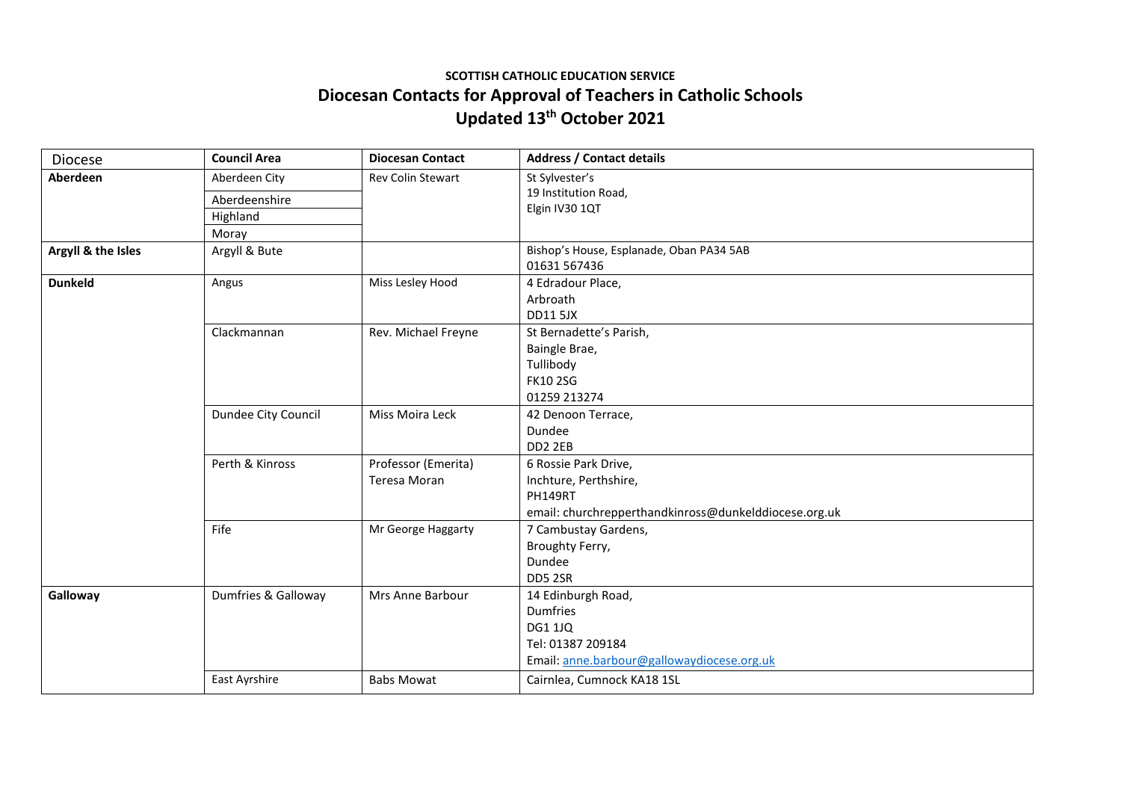## **SCOTTISH CATHOLIC EDUCATION SERVICE Diocesan Contacts for Approval of Teachers in Catholic Schools Updated 13th October 2021**

| Diocese            | <b>Council Area</b> | <b>Diocesan Contact</b> | <b>Address / Contact details</b>                      |
|--------------------|---------------------|-------------------------|-------------------------------------------------------|
| Aberdeen           | Aberdeen City       | Rev Colin Stewart       | St Sylvester's                                        |
|                    | Aberdeenshire       |                         | 19 Institution Road,<br>Elgin IV30 1QT                |
|                    | Highland            |                         |                                                       |
|                    | Moray               |                         |                                                       |
| Argyll & the Isles | Argyll & Bute       |                         | Bishop's House, Esplanade, Oban PA34 5AB              |
|                    |                     |                         | 01631 567436                                          |
| <b>Dunkeld</b>     | Angus               | Miss Lesley Hood        | 4 Edradour Place,                                     |
|                    |                     |                         | Arbroath                                              |
|                    |                     |                         | <b>DD11 5JX</b>                                       |
|                    | Clackmannan         | Rev. Michael Freyne     | St Bernadette's Parish,                               |
|                    |                     |                         | Baingle Brae,                                         |
|                    |                     |                         | Tullibody                                             |
|                    |                     |                         | <b>FK10 2SG</b>                                       |
|                    |                     |                         | 01259 213274                                          |
|                    | Dundee City Council | Miss Moira Leck         | 42 Denoon Terrace,                                    |
|                    |                     |                         | Dundee                                                |
|                    |                     |                         | DD <sub>2</sub> 2EB                                   |
|                    | Perth & Kinross     | Professor (Emerita)     | 6 Rossie Park Drive,                                  |
|                    |                     | Teresa Moran            | Inchture, Perthshire,                                 |
|                    |                     |                         | PH149RT                                               |
|                    |                     |                         | email: churchrepperthandkinross@dunkelddiocese.org.uk |
|                    | Fife                | Mr George Haggarty      | 7 Cambustay Gardens,                                  |
|                    |                     |                         | Broughty Ferry,                                       |
|                    |                     |                         | Dundee                                                |
|                    |                     |                         | DD5 2SR                                               |
| Galloway           | Dumfries & Galloway | Mrs Anne Barbour        | 14 Edinburgh Road,                                    |
|                    |                     |                         | Dumfries                                              |
|                    |                     |                         | <b>DG1 1JQ</b>                                        |
|                    |                     |                         | Tel: 01387 209184                                     |
|                    |                     |                         | Email: anne.barbour@gallowaydiocese.org.uk            |
|                    | East Ayrshire       | <b>Babs Mowat</b>       | Cairnlea, Cumnock KA18 1SL                            |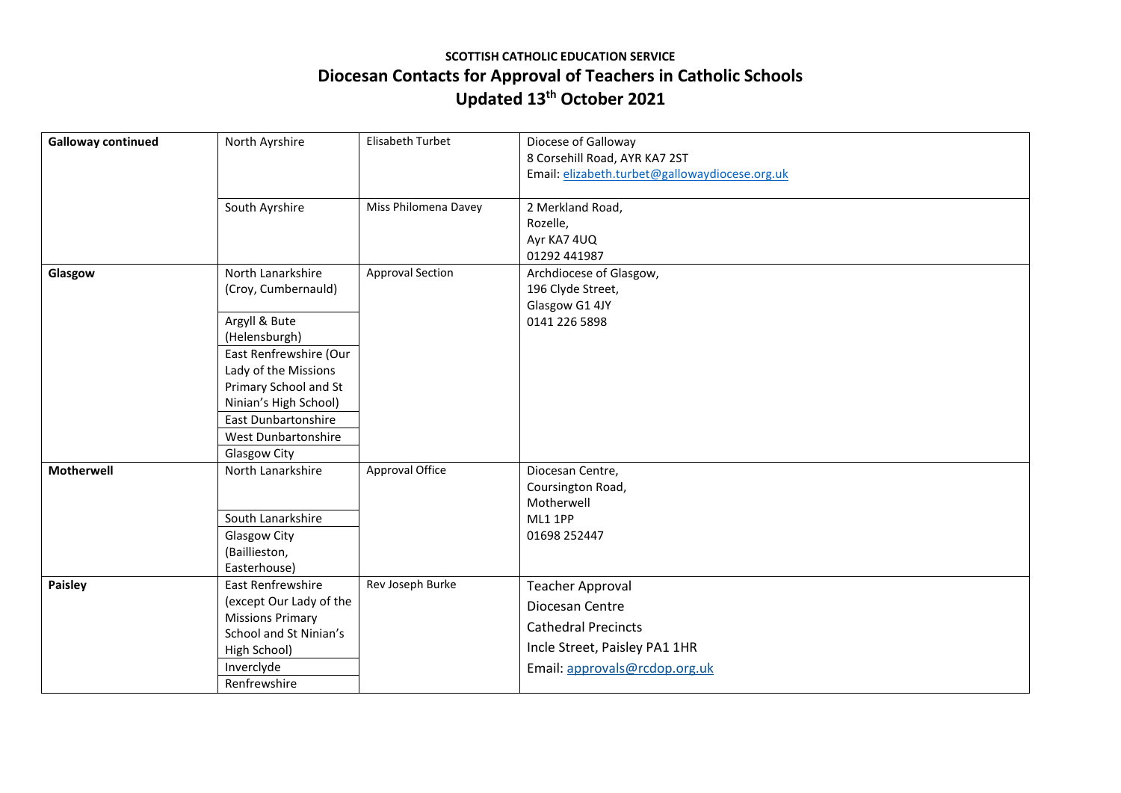## **SCOTTISH CATHOLIC EDUCATION SERVICE Diocesan Contacts for Approval of Teachers in Catholic Schools Updated 13th October 2021**

| <b>Galloway continued</b> | North Ayrshire                          | Elisabeth Turbet        | Diocese of Galloway                                                             |
|---------------------------|-----------------------------------------|-------------------------|---------------------------------------------------------------------------------|
|                           |                                         |                         | 8 Corsehill Road, AYR KA7 2ST<br>Email: elizabeth.turbet@gallowaydiocese.org.uk |
|                           |                                         |                         |                                                                                 |
|                           | South Ayrshire                          | Miss Philomena Davey    | 2 Merkland Road,                                                                |
|                           |                                         |                         | Rozelle,                                                                        |
|                           |                                         |                         | Ayr KA7 4UQ                                                                     |
|                           |                                         |                         | 01292 441987                                                                    |
| Glasgow                   | North Lanarkshire                       | <b>Approval Section</b> | Archdiocese of Glasgow,                                                         |
|                           | (Croy, Cumbernauld)                     |                         | 196 Clyde Street,                                                               |
|                           |                                         |                         | Glasgow G1 4JY                                                                  |
|                           | Argyll & Bute                           |                         | 0141 226 5898                                                                   |
|                           | (Helensburgh)<br>East Renfrewshire (Our |                         |                                                                                 |
|                           | Lady of the Missions                    |                         |                                                                                 |
|                           | Primary School and St                   |                         |                                                                                 |
|                           | Ninian's High School)                   |                         |                                                                                 |
|                           | <b>East Dunbartonshire</b>              |                         |                                                                                 |
|                           | West Dunbartonshire                     |                         |                                                                                 |
|                           | Glasgow City                            |                         |                                                                                 |
| <b>Motherwell</b>         | North Lanarkshire                       | Approval Office         | Diocesan Centre,                                                                |
|                           |                                         |                         | Coursington Road,                                                               |
|                           |                                         |                         | Motherwell                                                                      |
|                           | South Lanarkshire                       |                         | ML1 1PP                                                                         |
|                           | Glasgow City                            |                         | 01698 252447                                                                    |
|                           | (Baillieston,                           |                         |                                                                                 |
| Paisley                   | Easterhouse)<br>East Renfrewshire       | Rev Joseph Burke        |                                                                                 |
|                           | (except Our Lady of the                 |                         | <b>Teacher Approval</b>                                                         |
|                           | <b>Missions Primary</b>                 |                         | Diocesan Centre                                                                 |
|                           | School and St Ninian's                  |                         | <b>Cathedral Precincts</b>                                                      |
|                           | High School)                            |                         | Incle Street, Paisley PA1 1HR                                                   |
|                           | Inverclyde                              |                         | Email: approvals@rcdop.org.uk                                                   |
|                           | Renfrewshire                            |                         |                                                                                 |